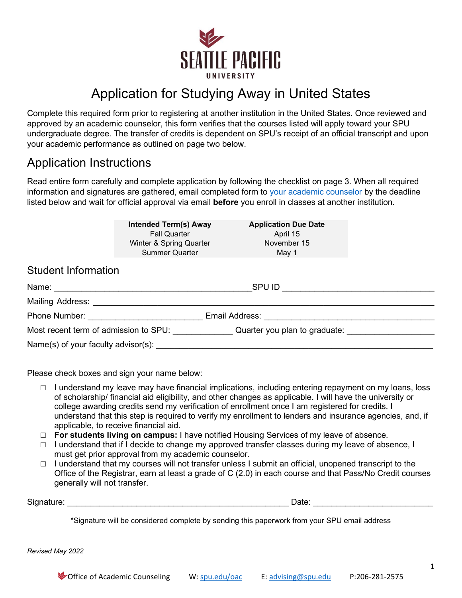

# Application for Studying Away in United States

Complete this required form prior to registering at another institution in the United States. Once reviewed and approved by an academic counselor, this form verifies that the courses listed will apply toward your SPU undergraduate degree. The transfer of credits is dependent on SPU's receipt of an official transcript and upon your academic performance as outlined on page two below.

### Application Instructions

Read entire form carefully and complete application by following the checklist on page 3. When all required information and signatures are gathered, email completed form to [your academic counselor](https://spu.edu/administration/academic-counseling/advising/counselors) by the deadline listed below and wait for official approval via email **before** you enroll in classes at another institution.

|                            | Intended Term(s) Away<br><b>Fall Quarter</b><br>Winter & Spring Quarter<br>Summer Quarter | <b>Application Due Date</b><br>April 15<br>November 15<br>May 1                            |  |  |  |  |  |
|----------------------------|-------------------------------------------------------------------------------------------|--------------------------------------------------------------------------------------------|--|--|--|--|--|
| <b>Student Information</b> |                                                                                           |                                                                                            |  |  |  |  |  |
|                            | SPU ID                                                                                    |                                                                                            |  |  |  |  |  |
|                            |                                                                                           |                                                                                            |  |  |  |  |  |
|                            | Email Address:                                                                            |                                                                                            |  |  |  |  |  |
|                            |                                                                                           | Most recent term of admission to SPU: $\qquad \qquad \qquad$ Quarter you plan to graduate: |  |  |  |  |  |
|                            |                                                                                           |                                                                                            |  |  |  |  |  |

Please check boxes and sign your name below:

- $\Box$  I understand my leave may have financial implications, including entering repayment on my loans, loss of scholarship/ financial aid eligibility, and other changes as applicable. I will have the university or college awarding credits send my verification of enrollment once I am registered for credits. I understand that this step is required to verify my enrollment to lenders and insurance agencies, and, if applicable, to receive financial aid.
- □ **For students living on campus:** I have notified Housing Services of my leave of absence.
- $\Box$  I understand that if I decide to change my approved transfer classes during my leave of absence, I must get prior approval from my academic counselor.
- $\Box$  I understand that my courses will not transfer unless I submit an official, unopened transcript to the Office of the Registrar, earn at least a grade of C (2.0) in each course and that Pass/No Credit courses generally will not transfer.

Signature: \_\_\_\_\_\_\_\_\_\_\_\_\_\_\_\_\_\_\_\_\_\_\_\_\_\_\_\_\_\_\_\_\_\_\_\_\_\_\_\_\_\_\_\_\_\_\_\_ Date: \_\_\_\_\_\_\_\_\_\_\_\_\_\_\_\_\_\_\_\_\_\_\_\_\_\_

\*Signature will be considered complete by sending this paperwork from your SPU email address

*Revised May 2022*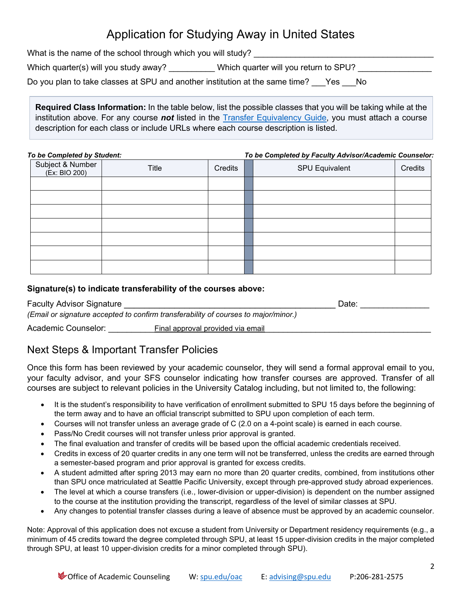## Application for Studying Away in United States

What is the name of the school through which you will study?

Which quarter(s) will you study away? \_\_\_\_\_\_\_\_\_\_\_\_Which quarter will you return to SPU?

Do you plan to take classes at SPU and another institution at the same time? Yes No

**Required Class Information:** In the table below, list the possible classes that you will be taking while at the institution above. For any course *not* listed in the [Transfer Equivalency Guide,](https://spu.edu/administration/office-of-the-registrar/transfer-equivalency-guide) you must attach a course description for each class or include URLs where each course description is listed.

| To be Completed by Student: | To be Completed by Faculty Advisor/Academic Counselor: |
|-----------------------------|--------------------------------------------------------|
|                             |                                                        |

| Subject & Number<br>(Ex: BIO 200) | Title | Credits | <b>SPU Equivalent</b> | Credits |
|-----------------------------------|-------|---------|-----------------------|---------|
|                                   |       |         |                       |         |
|                                   |       |         |                       |         |
|                                   |       |         |                       |         |
|                                   |       |         |                       |         |
|                                   |       |         |                       |         |
|                                   |       |         |                       |         |
|                                   |       |         |                       |         |

#### **Signature(s) to indicate transferability of the courses above:**

| <b>Faculty Advisor Signature</b> |                                                                                     | Date: |  |
|----------------------------------|-------------------------------------------------------------------------------------|-------|--|
|                                  | (Email or signature accepted to confirm transferability of courses to major/minor.) |       |  |
| Academic Counselor:              | Final approval provided via email                                                   |       |  |

### Next Steps & Important Transfer Policies

Once this form has been reviewed by your academic counselor, they will send a formal approval email to you, your faculty advisor, and your SFS counselor indicating how transfer courses are approved. Transfer of all courses are subject to relevant policies in the University Catalog including, but not limited to, the following:

- It is the student's responsibility to have verification of enrollment submitted to SPU 15 days before the beginning of the term away and to have an official transcript submitted to SPU upon completion of each term.
- Courses will not transfer unless an average grade of C (2.0 on a 4-point scale) is earned in each course.
- Pass/No Credit courses will not transfer unless prior approval is granted.
- The final evaluation and transfer of credits will be based upon the official academic credentials received.
- Credits in excess of 20 quarter credits in any one term will not be transferred, unless the credits are earned through a semester-based program and prior approval is granted for excess credits.
- A student admitted after spring 2013 may earn no more than 20 quarter credits, combined, from institutions other than SPU once matriculated at Seattle Pacific University, except through pre-approved study abroad experiences.
- The level at which a course transfers (i.e., lower-division or upper-division) is dependent on the number assigned to the course at the institution providing the transcript, regardless of the level of similar classes at SPU.
- Any changes to potential transfer classes during a leave of absence must be approved by an academic counselor.

Note: Approval of this application does not excuse a student from University or Department residency requirements (e.g., a minimum of 45 credits toward the degree completed through SPU, at least 15 upper-division credits in the major completed through SPU, at least 10 upper-division credits for a minor completed through SPU).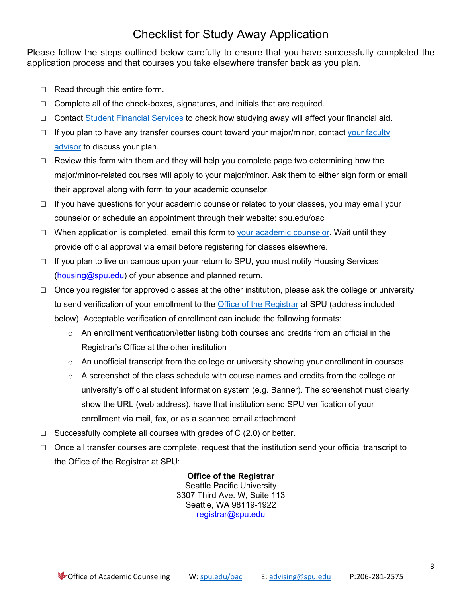## Checklist for Study Away Application

Please follow the steps outlined below carefully to ensure that you have successfully completed the application process and that courses you take elsewhere transfer back as you plan.

- $\Box$  Read through this entire form.
- $\Box$  Complete all of the check-boxes, signatures, and initials that are required.
- $\Box$  Contact [Student Financial Services](https://spu.edu/student-financial-services/contact) to check how studying away will affect your financial aid.
- □ If you plan to have any transfer courses count toward your major/minor, contact [your faculty](https://spu.edu/administration/academic-counseling/advising/your-faculty-advisor) [advisor](https://spu.edu/administration/academic-counseling/advising/your-faculty-advisor) to discuss your plan.
- $\Box$  Review this form with them and they will help you complete page two determining how the major/minor-related courses will apply to your major/minor. Ask them to either sign form or email their approval along with form to your academic counselor.
- $\Box$  If you have questions for your academic counselor related to your classes, you may email your counselor or schedule an appointment through their website: spu.edu/oac
- □ When application is completed, email this form to [your academic counselor.](https://spu.edu/administration/academic-counseling/advising/counselors) Wait until they provide official approval via email before registering for classes elsewhere.
- □ If you plan to live on campus upon your return to SPU, you must notify Housing Services (housing@spu.edu) of your absence and planned return.
- □ Once you register for approved classes at the other institution, please ask the college or university to send verification of your enrollment to the **Office of the Registrar** at SPU (address included below). Acceptable verification of enrollment can include the following formats:
	- $\circ$  An enrollment verification/letter listing both courses and credits from an official in the Registrar's Office at the other institution
	- $\circ$  An unofficial transcript from the college or university showing your enrollment in courses
	- $\circ$  A screenshot of the class schedule with course names and credits from the college or university's official student information system (e.g. Banner). The screenshot must clearly show the URL (web address). have that institution send SPU verification of your enrollment via mail, fax, or as a scanned email attachment
- $\Box$  Successfully complete all courses with grades of C (2.0) or better.
- $\Box$  Once all transfer courses are complete, request that the institution send your official transcript to the Office of the Registrar at SPU:

**Office of the Registrar**  Seattle Pacific University 3307 Third Ave. W, Suite 113 Seattle, WA 98119-1922 registrar@spu.edu